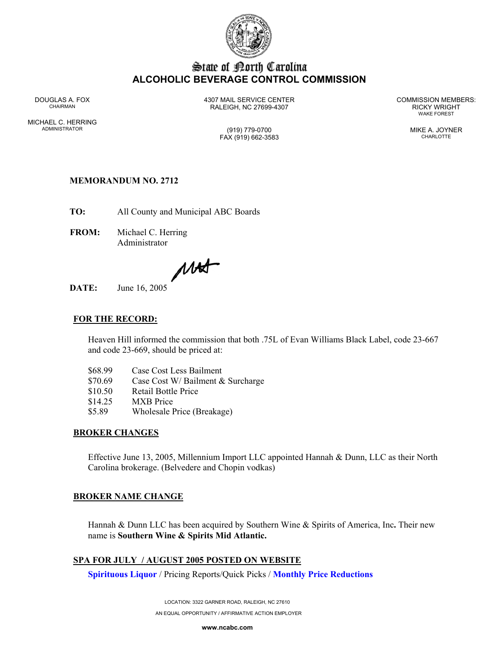

# State of Borth Carolina **ALCOHOLIC BEVERAGE CONTROL COMMISSION**

MICHAEL C. HERRING ADMINISTRATOR (919) 779-0700 MIKE A. JOYNER

DOUGLAS A. FOX 4307 MAIL SERVICE CENTER COMMISSION MEMBERS: CHAIRMAN RALEIGH, NC 27699-4307 RICKY WRIGHT

WAKE FOREST

# FAX (919) 662-3583 CHARLOTTE

# **MEMORANDUM NO. 2712**

**TO:** All County and Municipal ABC Boards

**FROM:** Michael C. Herring Administrator

 $\mu$ 

**DATE:** June 16, 2005

## **FOR THE RECORD:**

Heaven Hill informed the commission that both .75L of Evan Williams Black Label, code 23-667 and code 23-669, should be priced at:

| \$68.99 | Case Cost Less Bailment           |
|---------|-----------------------------------|
| \$70.69 | Case Cost W/ Bailment & Surcharge |
| \$10.50 | <b>Retail Bottle Price</b>        |

- \$14.25 MXB Price
- 
- \$5.89 Wholesale Price (Breakage)

#### **BROKER CHANGES**

Effective June 13, 2005, Millennium Import LLC appointed Hannah & Dunn, LLC as their North Carolina brokerage. (Belvedere and Chopin vodkas)

#### **BROKER NAME CHANGE**

Hannah & Dunn LLC has been acquired by Southern Wine & Spirits of America, Inc**.** Their new name is **Southern Wine & Spirits Mid Atlantic.**

## **SPA FOR JULY / AUGUST 2005 POSTED ON WEBSITE**

**Spirituous Liquor** / Pricing Reports/Quick Picks / **Monthly Price Reductions**